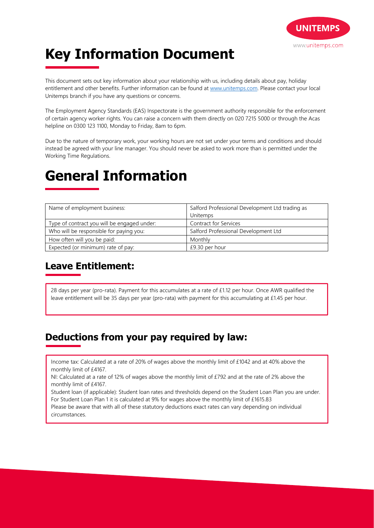

# **Key Information Document**

This document sets out key information about your relationship with us, including details about pay, holiday entitlement and other benefits. Further information can be found at www.unitemps.com. Please contact your local Unitemps branch if you have any questions or concerns.

The Employment Agency Standards (EAS) Inspectorate is the government authority responsible for the enforcement of certain agency worker rights. You can raise a concern with them directly on 020 7215 5000 or through the Acas helpline on 0300 123 1100, Monday to Friday, 8am to 6pm.

Due to the nature of temporary work, your working hours are not set under your terms and conditions and should instead be agreed with your line manager. You should never be asked to work more than is permitted under the Working Time Regulations.

## **General Information**

| Name of employment business:                | Salford Professional Development Ltd trading as |
|---------------------------------------------|-------------------------------------------------|
|                                             | Unitemps                                        |
| Type of contract you will be engaged under: | <b>Contract for Services</b>                    |
| Who will be responsible for paying you:     | Salford Professional Development Ltd            |
| How often will you be paid:                 | Monthly                                         |
| Expected (or minimum) rate of pay:          | £9.30 per hour                                  |

### **Leave Entitlement:**

28 days per year (pro-rata). Payment for this accumulates at a rate of £1.12 per hour. Once AWR qualified the leave entitlement will be 35 days per year (pro-rata) with payment for this accumulating at £1.45 per hour.

## **Deductions from your pay required by law:**

Income tax: Calculated at a rate of 20% of wages above the monthly limit of £1042 and at 40% above the monthly limit of £4167.

NI: Calculated at a rate of 12% of wages above the monthly limit of £792 and at the rate of 2% above the monthly limit of £4167.

Student loan (if applicable): Student loan rates and thresholds depend on the Student Loan Plan you are under. For Student Loan Plan 1 it is calculated at 9% for wages above the monthly limit of £1615.83

Please be aware that with all of these statutory deductions exact rates can vary depending on individual circumstances.